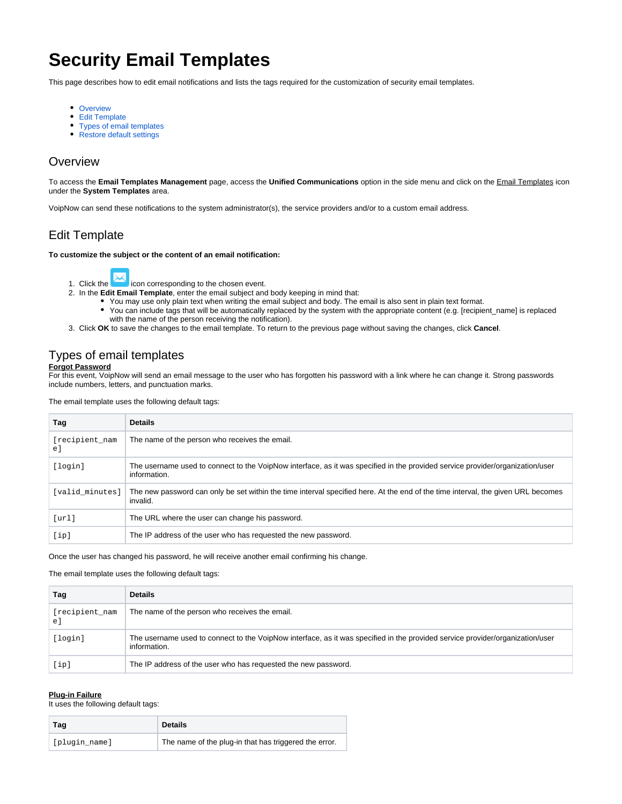# **Security Email Templates**

This page describes how to edit email notifications and lists the tags required for the customization of security email templates.

- [Overview](#page-0-0)
- [Edit Template](#page-0-1)
- [Types of email templates](#page-0-2)
- [Restore default settings](#page-1-0)

### <span id="page-0-0"></span>**Overview**

To access the **Email Templates Management** page, access the **Unified Communications** option in the side menu and click on the Email Templates icon under the **System Templates** area.

VoipNow can send these notifications to the system administrator(s), the service providers and/or to a custom email address.

## <span id="page-0-1"></span>Edit Template

### **To customize the subject or the content of an email notification:**

- 1. Click the icon corresponding to the chosen event.
- 2. In the **Edit Email Template**, enter the email subject and body keeping in mind that:
	- You may use only plain text when writing the email subject and body. The email is also sent in plain text format.
	- You can include tags that will be automatically replaced by the system with the appropriate content (e.g. [recipient\_name] is replaced with the name of the person receiving the notification).
- 3. Click **OK** to save the changes to the email template. To return to the previous page without saving the changes, click **Cancel**.

## <span id="page-0-2"></span>Types of email templates

### **Forgot Password**

For this event, VoipNow will send an email message to the user who has forgotten his password with a link where he can change it. Strong passwords include numbers, letters, and punctuation marks.

#### The email template uses the following default tags:

| Tag                   | <b>Details</b>                                                                                                                                |  |
|-----------------------|-----------------------------------------------------------------------------------------------------------------------------------------------|--|
| [recipient nam<br>e l | The name of the person who receives the email.                                                                                                |  |
| [login]               | The username used to connect to the VoipNow interface, as it was specified in the provided service provider/organization/user<br>information. |  |
| [valid minutes]       | The new password can only be set within the time interval specified here. At the end of the time interval, the given URL becomes<br>invalid.  |  |
| [url]                 | The URL where the user can change his password.                                                                                               |  |
| [ip]                  | The IP address of the user who has requested the new password.                                                                                |  |

Once the user has changed his password, he will receive another email confirming his change.

The email template uses the following default tags:

| Taq                 | <b>Details</b>                                                                                                                                |
|---------------------|-----------------------------------------------------------------------------------------------------------------------------------------------|
| [recipient_nam<br>e | The name of the person who receives the email.                                                                                                |
| [login]             | The username used to connect to the VoipNow interface, as it was specified in the provided service provider/organization/user<br>information. |
| [ip]                | The IP address of the user who has requested the new password.                                                                                |

### **Plug-in Failure**

It uses the following default tags:

| Tag           | <b>Details</b>                                        |
|---------------|-------------------------------------------------------|
| [plugin name] | The name of the plug-in that has triggered the error. |